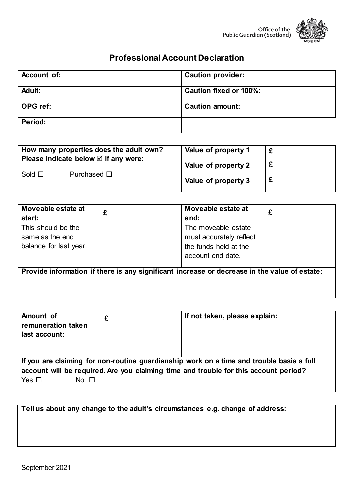

## **Professional Account Declaration**

| Account of:    | <b>Caution provider:</b> |  |
|----------------|--------------------------|--|
| Adult:         | Caution fixed or 100%:   |  |
| ∣ OPG ref:     | <b>Caution amount:</b>   |  |
| <b>Period:</b> |                          |  |

| How many properties does the adult own?<br>Please indicate below $\boxtimes$ if any were: |                  | Value of property 1 |  |
|-------------------------------------------------------------------------------------------|------------------|---------------------|--|
| Sold $\square$                                                                            | Purchased $\Box$ | Value of property 2 |  |
|                                                                                           |                  | Value of property 3 |  |

| Moveable estate at                                                                           | £ | Moveable estate at      |  |  |
|----------------------------------------------------------------------------------------------|---|-------------------------|--|--|
| start:                                                                                       |   | end:                    |  |  |
| This should be the                                                                           |   | The moveable estate     |  |  |
| same as the end                                                                              |   | must accurately reflect |  |  |
| balance for last year.                                                                       |   | the funds held at the   |  |  |
|                                                                                              |   | account end date.       |  |  |
|                                                                                              |   |                         |  |  |
| Provide information if there is any significant increase or decrease in the value of estate: |   |                         |  |  |
|                                                                                              |   |                         |  |  |

| Amount of<br>remuneration taken<br>last account:                                         |  | If not taken, please explain: |  |  |
|------------------------------------------------------------------------------------------|--|-------------------------------|--|--|
| If you are claiming for non-routine guardianship work on a time and trouble basis a full |  |                               |  |  |
| account will be required. Are you claiming time and trouble for this account period?     |  |                               |  |  |
| Yes $\Box$<br>$No$ $\Box$                                                                |  |                               |  |  |

**Tell us about any change to the adult's circumstances e.g. change of address:**